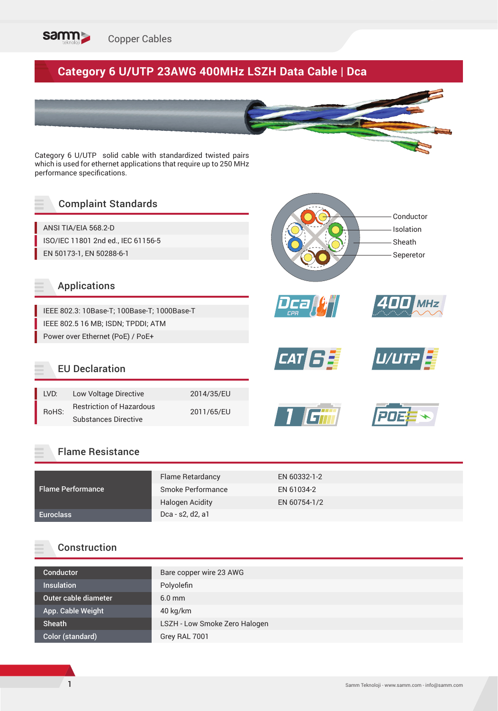

# **Category 6 U/UTP 23AWG 400MHz LSZH Data Cable | Dca**

Category 6 U/UTP solid cable with standardized twisted pairs which is used for ethernet applications that require up to 250 MHz performance specifications.

## Complaint Standards

ANSI TIA/EIA 568.2-D ISO/IEC 11801 2nd ed., IEC 61156-5 EN 50173-1, EN 50288-6-1

#### Applications

IEEE 802.3: 10Base-T; 100Base-T; 1000Base-T IEEE 802.5 16 MB; ISDN; TPDDI; ATM Power over Ethernet (PoE) / PoE+

#### EU Declaration

| LVD:  | Low Voltage Directive           | 2014/35/EU |
|-------|---------------------------------|------------|
| RoHS: | <b>Restriction of Hazardous</b> | 2011/65/EU |
|       | <b>Substances Directive</b>     |            |















#### Flame Resistance

|                          | <b>Flame Retardancy</b> | EN 60332-1-2 |
|--------------------------|-------------------------|--------------|
| <b>Flame Performance</b> | Smoke Performance       | EN 61034-2   |
|                          | <b>Halogen Acidity</b>  | EN 60754-1/2 |
| <b>Euroclass</b>         | Dca - s2, d2, a1        |              |

#### Construction

| Conductor            | Bare copper wire 23 AWG       |
|----------------------|-------------------------------|
| <b>Insulation</b>    | Polyolefin                    |
| Outer cable diameter | $6.0$ mm                      |
| App. Cable Weight    | 40 kg/km                      |
| <b>Sheath</b>        | LSZH - Low Smoke Zero Halogen |
| Color (standard)     | Grey RAL 7001                 |